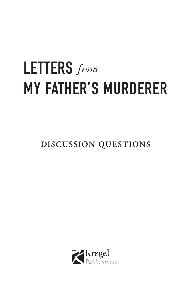# LETTERS *from*MY FATHER'S MURDERER

**DISCUSSION QUESTIONS**

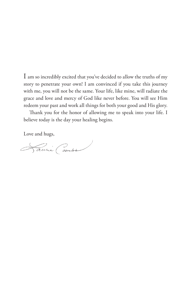I am so incredibly excited that you've decided to allow the truths of my story to penetrate your own! I am convinced if you take this journey with me, you will not be the same. Your life, like mine, will radiate the grace and love and mercy of God like never before. You will see Him redeem your past and work all things for both your good and His glory.

Thank you for the honor of allowing me to speak into your life. I believe today is the day your healing begins.

Love and hugs,

Laurie Coombs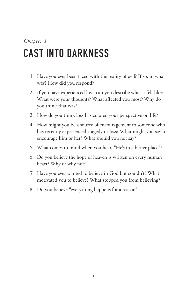## CAST INTO DARKNESS

- 1. Have you ever been faced with the reality of evil? If so, in what way? How did you respond?
- 2. If you have experienced loss, can you describe what it felt like? What were your thoughts? What affected you most? Why do you think that was?
- 3. How do you think loss has colored your perspective on life?
- 4. How might you be a source of encouragement to someone who has recently experienced tragedy or loss? What might you say to encourage him or her? What should you not say?
- 5. What comes to mind when you hear, "He's in a better place"?
- 6. Do you believe the hope of heaven is written on every human heart? Why or why not?
- 7. Have you ever wanted to believe in God but couldn't? What motivated you to believe? What stopped you from believing?
- 8. Do you believe "everything happens for a reason"?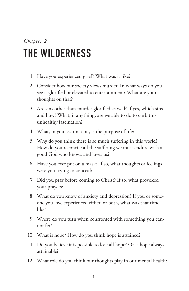#### *Chapter 2* THE WILDERNESS

- 1. Have you experienced grief? What was it like?
- 2. Consider how our society views murder. In what ways do you see it glorified or elevated to entertainment? What are your thoughts on that?
- 3. Are sins other than murder glorified as well? If yes, which sins and how? What, if anything, are we able to do to curb this unhealthy fascination?
- 4. What, in your estimation, is the purpose of life?
- 5. Why do you think there is so much suffering in this world? How do you reconcile all the suffering we must endure with a good God who knows and loves us?
- 6. Have you ever put on a mask? If so, what thoughts or feelings were you trying to conceal?
- 7. Did you pray before coming to Christ? If so, what provoked your prayers?
- 8. What do you know of anxiety and depression? If you or someone you love experienced either, or both, what was that time like?
- 9. Where do you turn when confronted with something you cannot fix?
- 10. What is hope? How do you think hope is attained?
- 11. Do you believe it is possible to lose all hope? Or is hope always attainable?
- 12. What role do you think our thoughts play in our mental health?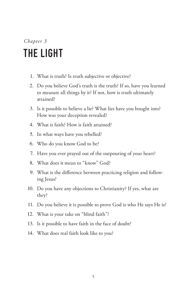### *Chapter 3* THE LIGHT

- 1. What is truth? Is truth subjective or objective?
- 2. Do you believe God's truth is the truth? If so, have you learned to measure all things by it? If not, how is truth ultimately attained?
- 3. Is it possible to believe a lie? What lies have you bought into? How was your deception revealed?
- 4. What is faith? How is faith attained?
- 5. In what ways have you rebelled?
- 6. Who do you know God to be?
- 7. Have you ever prayed out of the outpouring of your heart?
- 8. What does it mean to "know" God?
- 9. What is the difference between practicing religion and following Jesus?
- 10. Do you have any objections to Christianity? If yes, what are they?
- 11. Do you believe it is possible to prove God is who He says He is?
- 12. What is your take on "blind faith"?
- 13. Is it possible to have faith in the face of doubt?
- 14. What does real faith look like to you?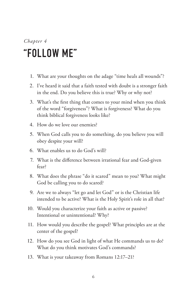#### *Chapter 4* "FOLLOW ME"

- 1. What are your thoughts on the adage "time heals all wounds"?
- 2. I've heard it said that a faith tested with doubt is a stronger faith in the end. Do you believe this is true? Why or why not?
- 3. What's the first thing that comes to your mind when you think of the word "forgiveness"? What is forgiveness? What do you think biblical forgiveness looks like?
- 4. How do we love our enemies?
- 5. When God calls you to do something, do you believe you will obey despite your will?
- 6. What enables us to do God's will?
- 7. What is the difference between irrational fear and God-given fear?
- 8. What does the phrase "do it scared" mean to you? What might God be calling you to do scared?
- 9. Are we to always "let go and let God" or is the Christian life intended to be active? What is the Holy Spirit's role in all that?
- 10. Would you characterize your faith as active or passive? Intentional or unintentional? Why?
- 11. How would you describe the gospel? What principles are at the center of the gospel?
- 12. How do you see God in light of what He commands us to do? What do you think motivates God's commands?
- 13. What is your takeaway from Romans 12:17–21?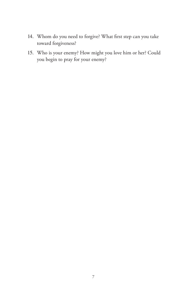- 14. Whom do you need to forgive? What first step can you take toward forgiveness?
- 15. Who is your enemy? How might you love him or her? Could you begin to pray for your enemy?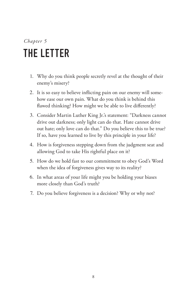### *Chapter 5* THE LETTER

- 1. Why do you think people secretly revel at the thought of their enemy's misery?
- 2. It is so easy to believe inflicting pain on our enemy will somehow ease our own pain. What do you think is behind this flawed thinking? How might we be able to live differently?
- 3. Consider Martin Luther King Jr.'s statement: "Darkness cannot drive out darkness; only light can do that. Hate cannot drive out hate; only love can do that." Do you believe this to be true? If so, have you learned to live by this principle in your life?
- 4. How is forgiveness stepping down from the judgment seat and allowing God to take His rightful place on it?
- 5. How do we hold fast to our commitment to obey God's Word when the idea of forgiveness gives way to its reality?
- 6. In what areas of your life might you be holding your biases more closely than God's truth?
- 7. Do you believe forgiveness is a decision? Why or why not?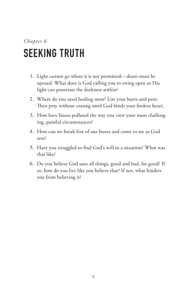### *Chapter 6* SEEKING TRUTH

- 1. Light cannot go where it is not permitted––doors must be opened. What door is God calling you to swing open so His light can penetrate the darkness within?
- 2. Where do you need healing most? List your hurts and pain. Then pray without ceasing until God binds your broken heart.
- 3. How have biases polluted the way you view your most challenging, painful circumstances?
- 4. How can we break free of our biases and come to see as God sees?
- 5. Have you struggled to find God's will in a situation? What was that like?
- 6. Do you believe God uses all things, good and bad, for good? If so, how do you live like you believe that? If not, what hinders you from believing it?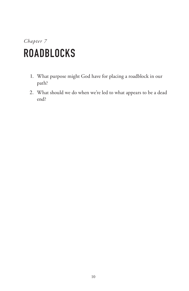### *Chapter 7* ROADBLOCKS

- 1. What purpose might God have for placing a roadblock in our path?
- 2. What should we do when we're led to what appears to be a dead end?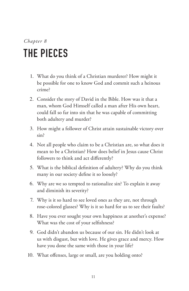### *Chapter 8* THE PIECES

- 1. What do you think of a Christian murderer? How might it be possible for one to know God and commit such a heinous crime?
- 2. Consider the story of David in the Bible. How was it that a man, whom God Himself called a man after His own heart, could fall so far into sin that he was capable of committing both adultery and murder?
- 3. How might a follower of Christ attain sustainable victory over sin?
- 4. Not all people who claim to be a Christian are, so what does it mean to be a Christian? How does belief in Jesus cause Christ followers to think and act differently?
- 5. What is the biblical definition of adultery? Why do you think many in our society define it so loosely?
- 6. Why are we so tempted to rationalize sin? To explain it away and diminish its severity?
- 7. Why is it so hard to see loved ones as they are, not through rose-colored glasses? Why is it so hard for us to see their faults?
- 8. Have you ever sought your own happiness at another's expense? What was the cost of your selfishness?
- 9. God didn't abandon us because of our sin. He didn't look at us with disgust, but with love. He gives grace and mercy. How have you done the same with those in your life?
- 10. What offenses, large or small, are you holding onto?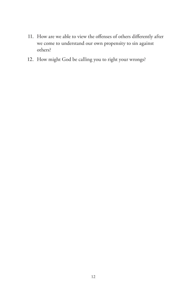- 11. How are we able to view the offenses of others differently after we come to understand our own propensity to sin against others?
- 12. How might God be calling you to right your wrongs?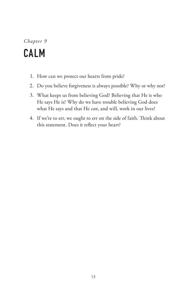#### *Chapter 9* CALM

- 1. How can we protect our hearts from pride?
- 2. Do you believe forgiveness is always possible? Why or why not?
- 3. What keeps us from believing God? Believing that He is who He says He is? Why do we have trouble believing God does what He says and that He *can*, and will, work in our lives?
- 4. If we're to err, we ought to err on the side of faith. Think about this statement. Does it reflect your heart?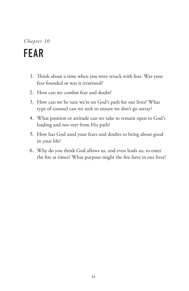## FEAR

- 1. Think about a time when you were struck with fear. Was your fear founded or was it irrational?
- 2. How can we combat fear and doubt?
- 3. How can we be sure we're on God's path for our lives? What type of counsel can we seek to ensure we don't go astray?
- 4. What position or attitude can we take to remain open to God's leading and not veer from His path?
- 5. How has God used your fears and doubts to bring about good in your life?
- 6. Why do you think God allows us, and even leads us, to enter the fire at times? What purpose might the fire have in our lives?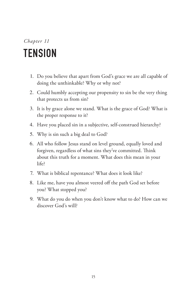#### *Chapter 11* TENSION

- 1. Do you believe that apart from God's grace we are all capable of doing the unthinkable? Why or why not?
- 2. Could humbly accepting our propensity to sin be the very thing that protects us from sin?
- 3. It is by grace alone we stand. What is the grace of God? What is the proper response to it?
- 4. Have you placed sin in a subjective, self-construed hierarchy?
- 5. Why is sin such a big deal to God?
- 6. All who follow Jesus stand on level ground, equally loved and forgiven, regardless of what sins they've committed. Think about this truth for a moment. What does this mean in your life?
- 7. What is biblical repentance? What does it look like?
- 8. Like me, have you almost veered off the path God set before you? What stopped you?
- 9. What do you do when you don't know what to do? How can we discover God's will?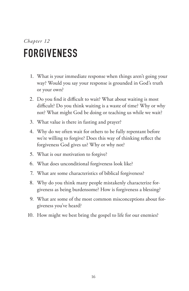### *Chapter 12* FORGIVENESS

- 1. What is your immediate response when things aren't going your way? Would you say your response is grounded in God's truth or your own?
- 2. Do you find it difficult to wait? What about waiting is most difficult? Do you think waiting is a waste of time? Why or why not? What might God be doing or teaching us while we wait?
- 3. What value is there in fasting and prayer?
- 4. Why do we often wait for others to be fully repentant before we're willing to forgive? Does this way of thinking reflect the forgiveness God gives us? Why or why not?
- 5. What is our motivation to forgive?
- 6. What does unconditional forgiveness look like?
- 7. What are some characteristics of biblical forgiveness?
- 8. Why do you think many people mistakenly characterize forgiveness as being burdensome? How is forgiveness a blessing?
- 9. What are some of the most common misconceptions about forgiveness you've heard?
- 10. How might we best bring the gospel to life for our enemies?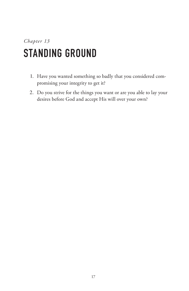#### *Chapter 13* STANDING GROUND

- 1. Have you wanted something so badly that you considered compromising your integrity to get it?
- 2. Do you strive for the things you want or are you able to lay your desires before God and accept His will over your own?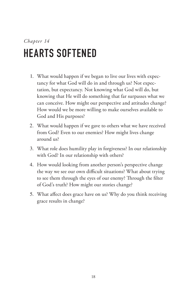## HEARTS SOFTENED

- 1. What would happen if we began to live our lives with expectancy for what God will do in and through us? Not expectation, but expectancy. Not knowing what God will do, but knowing that He will do something that far surpasses what we can conceive. How might our perspective and attitudes change? How would we be more willing to make ourselves available to God and His purposes?
- 2. What would happen if we gave to others what we have received from God? Even to our enemies? How might lives change around us?
- 3. What role does humility play in forgiveness? In our relationship with God? In our relationship with others?
- 4. How would looking from another person's perspective change the way we see our own difficult situations? What about trying to see them through the eyes of our enemy? Through the filter of God's truth? How might our stories change?
- 5. What affect does grace have on us? Why do you think receiving grace results in change?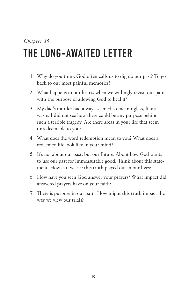## THE LONG-AWAITED LETTER

- 1. Why do you think God often calls us to dig up our past? To go back to our most painful memories?
- 2. What happens in our hearts when we willingly revisit our pain with the purpose of allowing God to heal it?
- 3. My dad's murder had always seemed so meaningless, like a waste. I did not see how there could be any purpose behind such a terrible tragedy. Are there areas in your life that seem unredeemable to you?
- 4. What does the word redemption mean to you? What does a redeemed life look like in your mind?
- 5. It's not about our past, but our future. About how God wants to use our past for immeasurable good. Think about this statement. How can we see this truth played out in our lives?
- 6. How have you seen God answer your prayers? What impact did answered prayers have on your faith?
- 7. There is purpose in our pain. How might this truth impact the way we view our trials?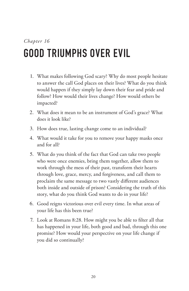## GOOD TRIUMPHS OVER EVIL

- 1. What makes following God scary? Why do most people hesitate to answer the call God places on their lives? What do you think would happen if they simply lay down their fear and pride and follow? How would their lives change? How would others be impacted?
- 2. What does it mean to be an instrument of God's grace? What does it look like?
- 3. How does true, lasting change come to an individual?
- 4. What would it take for you to remove your happy masks once and for all?
- 5. What do you think of the fact that God can take two people who were once enemies, bring them together, allow them to work through the mess of their past, transform their hearts through love, grace, mercy, and forgiveness, and call them to proclaim the same message to two vastly different audiences both inside and outside of prison? Considering the truth of this story, what do you think God wants to do in your life?
- 6. Good reigns victorious over evil every time. In what areas of your life has this been true?
- 7. Look at Romans 8:28. How might you be able to filter all that has happened in your life, both good and bad, through this one promise? How would your perspective on your life change if you did so continually?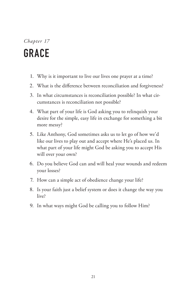### *Chapter 17* GRACE

- 1. Why is it important to live our lives one prayer at a time?
- 2. What is the difference between reconciliation and forgiveness?
- 3. In what circumstances is reconciliation possible? In what circumstances is reconciliation not possible?
- 4. What part of your life is God asking you to relinquish your desire for the simple, easy life in exchange for something a bit more messy?
- 5. Like Anthony, God sometimes asks us to let go of how we'd like our lives to play out and accept where He's placed us. In what part of your life might God be asking you to accept His will over your own?
- 6. Do you believe God can and will heal your wounds and redeem your losses?
- 7. How can a simple act of obedience change your life?
- 8. Is your faith just a belief system or does it change the way you live?
- 9. In what ways might God be calling you to follow Him?